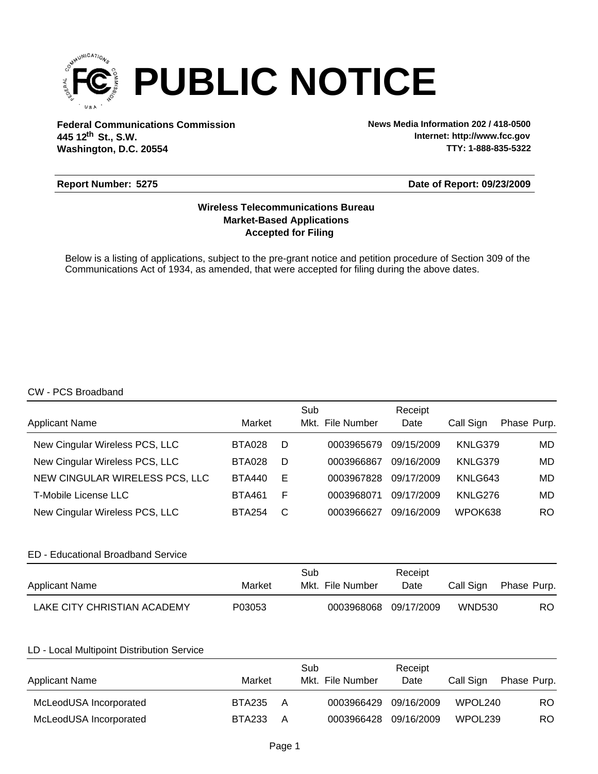

**Federal Communications Commission News Media Information 202 / 418-0500 Washington, D.C. 20554 th 445 12 St., S.W.**

**Internet: http://www.fcc.gov TTY: 1-888-835-5322**

# **Report Number: 5275**

# **Date of Report: 09/23/2009**

# **Accepted for Filing Market-Based Applications Wireless Telecommunications Bureau**

Below is a listing of applications, subject to the pre-grant notice and petition procedure of Section 309 of the Communications Act of 1934, as amended, that were accepted for filing during the above dates.

#### CW - PCS Broadband

| <b>Applicant Name</b>          | Market        |   | Sub<br>Mkt. File Number | Receipt<br>Date | Call Sign | Phase Purp. |
|--------------------------------|---------------|---|-------------------------|-----------------|-----------|-------------|
| New Cingular Wireless PCS, LLC | <b>BTA028</b> | D | 0003965679              | 09/15/2009      | KNLG379   | MD          |
| New Cingular Wireless PCS, LLC | <b>BTA028</b> | D | 0003966867              | 09/16/2009      | KNLG379   | MD          |
| NEW CINGULAR WIRELESS PCS, LLC | <b>BTA440</b> | Е | 0003967828              | 09/17/2009      | KNLG643   | MD          |
| T-Mobile License LLC           | <b>BTA461</b> | F | 0003968071              | 09/17/2009      | KNLG276   | MD          |
| New Cingular Wireless PCS, LLC | <b>BTA254</b> | C | 0003966627              | 09/16/2009      | WPOK638   | RO          |

# ED - Educational Broadband Service

| Applicant Name              | Market | Sub<br>Mkt. File Number | Receipt<br>Date | Call Sign     | Phase Purp. |
|-----------------------------|--------|-------------------------|-----------------|---------------|-------------|
| LAKE CITY CHRISTIAN ACADEMY | P03053 | 0003968068 09/17/2009   |                 | <b>WND530</b> | RO.         |

# LD - Local Multipoint Distribution Service

| <b>Applicant Name</b>  | Market        |   | Sub<br>Mkt. File Number | Receipt<br>Date | Call Sign           | Phase Purp. |
|------------------------|---------------|---|-------------------------|-----------------|---------------------|-------------|
| McLeodUSA Incorporated | <b>BTA235</b> | A | 0003966429 09/16/2009   |                 | WPOL240             | RO.         |
| McLeodUSA Incorporated | <b>BTA233</b> | A | 0003966428 09/16/2009   |                 | WPOL <sub>239</sub> | RO.         |